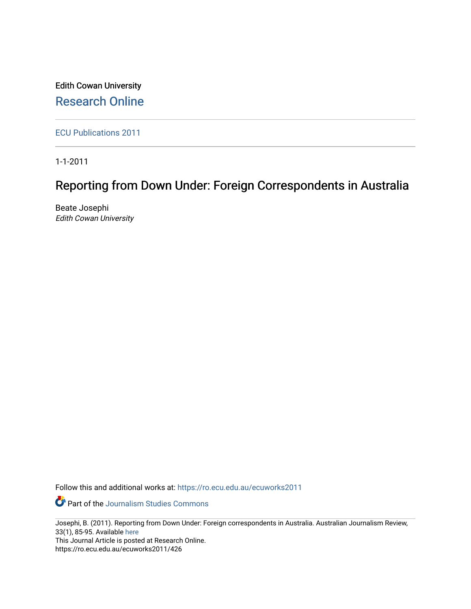Edith Cowan University [Research Online](https://ro.ecu.edu.au/) 

[ECU Publications 2011](https://ro.ecu.edu.au/ecuworks2011)

1-1-2011

# Reporting from Down Under: Foreign Correspondents in Australia

Beate Josephi Edith Cowan University

Follow this and additional works at: [https://ro.ecu.edu.au/ecuworks2011](https://ro.ecu.edu.au/ecuworks2011?utm_source=ro.ecu.edu.au%2Fecuworks2011%2F426&utm_medium=PDF&utm_campaign=PDFCoverPages) 

Part of the [Journalism Studies Commons](http://network.bepress.com/hgg/discipline/333?utm_source=ro.ecu.edu.au%2Fecuworks2011%2F426&utm_medium=PDF&utm_campaign=PDFCoverPages)

Josephi, B. (2011). Reporting from Down Under: Foreign correspondents in Australia. Australian Journalism Review, 33(1), 85-95. Available [here](http://search.informit.com.au/documentSummary;dn=244199016733855;res=IELLCC)

This Journal Article is posted at Research Online. https://ro.ecu.edu.au/ecuworks2011/426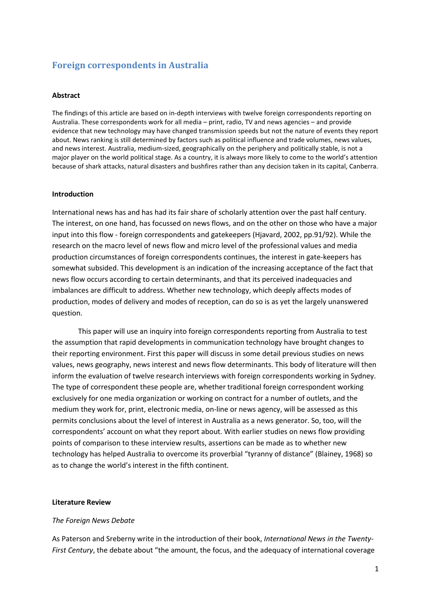# **Foreign correspondents in Australia**

#### **Abstract**

The findings of this article are based on in-depth interviews with twelve foreign correspondents reporting on Australia. These correspondents work for all media – print, radio, TV and news agencies – and provide evidence that new technology may have changed transmission speeds but not the nature of events they report about. News ranking is still determined by factors such as political influence and trade volumes, news values, and news interest. Australia, medium-sized, geographically on the periphery and politically stable, is not a major player on the world political stage. As a country, it is always more likely to come to the world's attention because of shark attacks, natural disasters and bushfires rather than any decision taken in its capital, Canberra.

#### **Introduction**

International news has and has had its fair share of scholarly attention over the past half century. The interest, on one hand, has focussed on news flows, and on the other on those who have a major input into this flow - foreign correspondents and gatekeepers (Hjavard, 2002, pp.91/92). While the research on the macro level of news flow and micro level of the professional values and media production circumstances of foreign correspondents continues, the interest in gate-keepers has somewhat subsided. This development is an indication of the increasing acceptance of the fact that news flow occurs according to certain determinants, and that its perceived inadequacies and imbalances are difficult to address. Whether new technology, which deeply affects modes of production, modes of delivery and modes of reception, can do so is as yet the largely unanswered question.

This paper will use an inquiry into foreign correspondents reporting from Australia to test the assumption that rapid developments in communication technology have brought changes to their reporting environment. First this paper will discuss in some detail previous studies on news values, news geography, news interest and news flow determinants. This body of literature will then inform the evaluation of twelve research interviews with foreign correspondents working in Sydney. The type of correspondent these people are, whether traditional foreign correspondent working exclusively for one media organization or working on contract for a number of outlets, and the medium they work for, print, electronic media, on-line or news agency, will be assessed as this permits conclusions about the level of interest in Australia as a news generator. So, too, will the correspondents' account on what they report about. With earlier studies on news flow providing points of comparison to these interview results, assertions can be made as to whether new technology has helped Australia to overcome its proverbial "tyranny of distance" (Blainey, 1968) so as to change the world's interest in the fifth continent.

#### **Literature Review**

## *The Foreign News Debate*

As Paterson and Sreberny write in the introduction of their book, *International News in the Twenty-First Century*, the debate about "the amount, the focus, and the adequacy of international coverage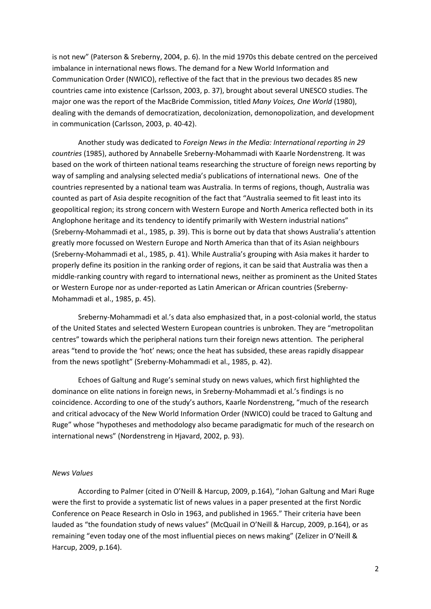is not new" (Paterson & Sreberny, 2004, p. 6). In the mid 1970s this debate centred on the perceived imbalance in international news flows. The demand for a New World Information and Communication Order (NWICO), reflective of the fact that in the previous two decades 85 new countries came into existence (Carlsson, 2003, p. 37), brought about several UNESCO studies. The major one was the report of the MacBride Commission, titled *Many Voices, One World* (1980), dealing with the demands of democratization, decolonization, demonopolization, and development in communication (Carlsson, 2003, p. 40-42).

Another study was dedicated to *Foreign News in the Media: International reporting in 29 countries* (1985), authored by Annabelle Sreberny-Mohammadi with Kaarle Nordenstreng. It was based on the work of thirteen national teams researching the structure of foreign news reporting by way of sampling and analysing selected media's publications of international news. One of the countries represented by a national team was Australia. In terms of regions, though, Australia was counted as part of Asia despite recognition of the fact that "Australia seemed to fit least into its geopolitical region; its strong concern with Western Europe and North America reflected both in its Anglophone heritage and its tendency to identify primarily with Western industrial nations" (Sreberny-Mohammadi et al., 1985, p. 39). This is borne out by data that shows Australia's attention greatly more focussed on Western Europe and North America than that of its Asian neighbours (Sreberny-Mohammadi et al., 1985, p. 41). While Australia's grouping with Asia makes it harder to properly define its position in the ranking order of regions, it can be said that Australia was then a middle-ranking country with regard to international news, neither as prominent as the United States or Western Europe nor as under-reported as Latin American or African countries (Sreberny-Mohammadi et al., 1985, p. 45).

Sreberny-Mohammadi et al.'s data also emphasized that, in a post-colonial world, the status of the United States and selected Western European countries is unbroken. They are "metropolitan centres" towards which the peripheral nations turn their foreign news attention. The peripheral areas "tend to provide the 'hot' news; once the heat has subsided, these areas rapidly disappear from the news spotlight" (Sreberny-Mohammadi et al., 1985, p. 42).

Echoes of Galtung and Ruge's seminal study on news values, which first highlighted the dominance on elite nations in foreign news, in Sreberny-Mohammadi et al.'s findings is no coincidence. According to one of the study's authors, Kaarle Nordenstreng, "much of the research and critical advocacy of the New World Information Order (NWICO) could be traced to Galtung and Ruge" whose "hypotheses and methodology also became paradigmatic for much of the research on international news" (Nordenstreng in Hjavard, 2002, p. 93).

#### *News Values*

According to Palmer (cited in O'Neill & Harcup, 2009, p.164), "Johan Galtung and Mari Ruge were the first to provide a systematic list of news values in a paper presented at the first Nordic Conference on Peace Research in Oslo in 1963, and published in 1965." Their criteria have been lauded as "the foundation study of news values" (McQuail in O'Neill & Harcup, 2009, p.164), or as remaining "even today one of the most influential pieces on news making" (Zelizer in O'Neill & Harcup, 2009, p.164).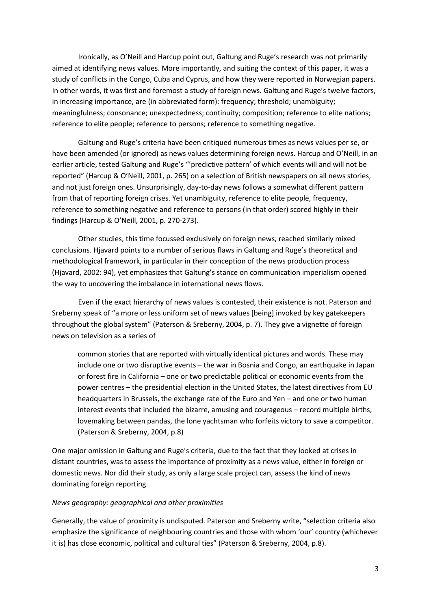Ironically, as O'Neill and Harcup point out, Galtung and Ruge's research was not primarily aimed at identifying news values. More importantly, and suiting the context of this paper, it was a study of conflicts in the Congo, Cuba and Cyprus, and how they were reported in Norwegian papers. In other words, it was first and foremost a study of foreign news. Galtung and Ruge's twelve factors, in increasing importance, are (in abbreviated form): frequency; threshold; unambiguity; meaningfulness; consonance; unexpectedness; continuity; composition; reference to elite nations; reference to elite people; reference to persons; reference to something negative.

Galtung and Ruge's criteria have been critiqued numerous times as news values per se, or have been amended (or ignored) as news values determining foreign news. Harcup and O'Neill, in an earlier article, tested Galtung and Ruge's "'predictive pattern' of which events will and will not be reported" (Harcup & O'Neill, 2001, p. 265) on a selection of British newspapers on all news stories, and not just foreign ones. Unsurprisingly, day-to-day news follows a somewhat different pattern from that of reporting foreign crises. Yet unambiguity, reference to elite people, frequency, reference to something negative and reference to persons (in that order) scored highly in their findings (Harcup & O'Neill, 2001, p. 270-273).

Other studies, this time focussed exclusively on foreign news, reached similarly mixed conclusions. Hjavard points to a number of serious flaws in Galtung and Ruge's theoretical and methodological framework, in particular in their conception of the news production process (Hjavard, 2002: 94), yet emphasizes that Galtung's stance on communication imperialism opened the way to uncovering the imbalance in international news flows.

Even if the exact hierarchy of news values is contested, their existence is not. Paterson and Sreberny speak of "a more or less uniform set of news values [being] invoked by key gatekeepers throughout the global system" (Paterson & Sreberny, 2004, p. 7). They give a vignette of foreign news on television as a series of

common stories that are reported with virtually identical pictures and words. These may include one or two disruptive events – the war in Bosnia and Congo, an earthquake in Japan or forest fire in California – one or two predictable political or economic events from the power centres – the presidential election in the United States, the latest directives from EU headquarters in Brussels, the exchange rate of the Euro and Yen – and one or two human interest events that included the bizarre, amusing and courageous – record multiple births, lovemaking between pandas, the lone yachtsman who forfeits victory to save a competitor. (Paterson & Sreberny, 2004, p.8)

One major omission in Galtung and Ruge's criteria, due to the fact that they looked at crises in distant countries, was to assess the importance of proximity as a news value, either in foreign or domestic news. Nor did their study, as only a large scale project can, assess the kind of news dominating foreign reporting.

# *News geography: geographical and other proximities*

Generally, the value of proximity is undisputed. Paterson and Sreberny write, "selection criteria also emphasize the significance of neighbouring countries and those with whom 'our' country (whichever it is) has close economic, political and cultural ties" (Paterson & Sreberny, 2004, p.8).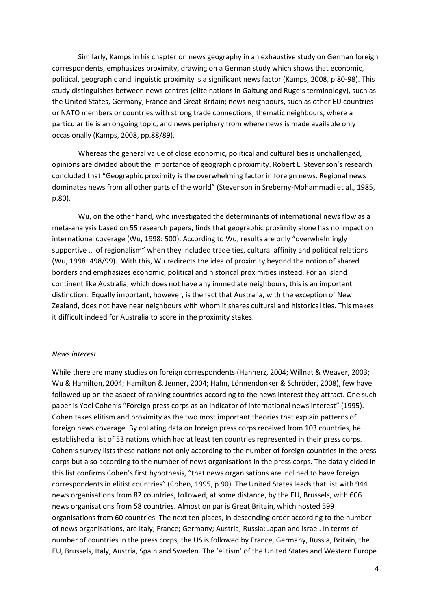Similarly, Kamps in his chapter on news geography in an exhaustive study on German foreign correspondents, emphasizes proximity, drawing on a German study which shows that economic, political, geographic and linguistic proximity is a significant news factor (Kamps, 2008, p.80-98). This study distinguishes between news centres (elite nations in Galtung and Ruge's terminology), such as the United States, Germany, France and Great Britain; news neighbours, such as other EU countries or NATO members or countries with strong trade connections; thematic neighbours, where a particular tie is an ongoing topic, and news periphery from where news is made available only occasionally (Kamps, 2008, pp.88/89).

Whereas the general value of close economic, political and cultural ties is unchallenged, opinions are divided about the importance of geographic proximity. Robert L. Stevenson's research concluded that "Geographic proximity is the overwhelming factor in foreign news. Regional news dominates news from all other parts of the world" (Stevenson in Sreberny-Mohammadi et al., 1985, p.80).

Wu, on the other hand, who investigated the determinants of international news flow as a meta-analysis based on 55 research papers, finds that geographic proximity alone has no impact on international coverage (Wu, 1998: 500). According to Wu, results are only "overwhelmingly supportive … of regionalism" when they included trade ties, cultural affinity and political relations (Wu, 1998: 498/99). With this, Wu redirects the idea of proximity beyond the notion of shared borders and emphasizes economic, political and historical proximities instead. For an island continent like Australia, which does not have any immediate neighbours, this is an important distinction. Equally important, however, is the fact that Australia, with the exception of New Zealand, does not have near neighbours with whom it shares cultural and historical ties. This makes it difficult indeed for Australia to score in the proximity stakes.

#### *News interest*

While there are many studies on foreign correspondents (Hannerz, 2004; Willnat & Weaver, 2003; Wu & Hamilton, 2004; Hamilton & Jenner, 2004; Hahn, Lönnendonker & Schröder, 2008), few have followed up on the aspect of ranking countries according to the news interest they attract. One such paper is Yoel Cohen's "Foreign press corps as an indicator of international news interest" (1995). Cohen takes elitism and proximity as the two most important theories that explain patterns of foreign news coverage. By collating data on foreign press corps received from 103 countries, he established a list of 53 nations which had at least ten countries represented in their press corps. Cohen's survey lists these nations not only according to the number of foreign countries in the press corps but also according to the number of news organisations in the press corps. The data yielded in this list confirms Cohen's first hypothesis, "that news organisations are inclined to have foreign correspondents in elitist countries" (Cohen, 1995, p.90). The United States leads that list with 944 news organisations from 82 countries, followed, at some distance, by the EU, Brussels, with 606 news organisations from 58 countries. Almost on par is Great Britain, which hosted 599 organisations from 60 countries. The next ten places, in descending order according to the number of news organisations, are Italy; France; Germany; Austria; Russia; Japan and Israel. In terms of number of countries in the press corps, the US is followed by France, Germany, Russia, Britain, the EU, Brussels, Italy, Austria, Spain and Sweden. The 'elitism' of the United States and Western Europe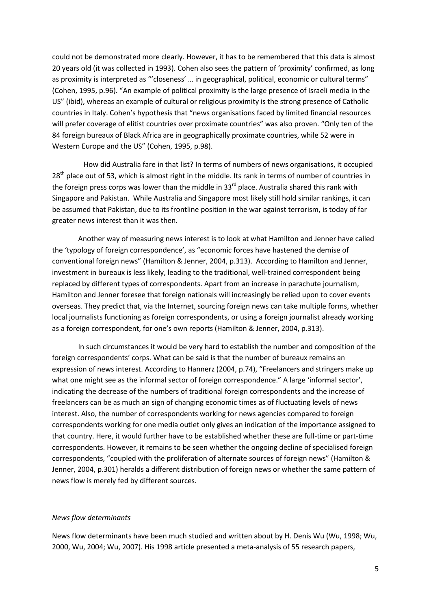could not be demonstrated more clearly. However, it has to be remembered that this data is almost 20 years old (it was collected in 1993). Cohen also sees the pattern of 'proximity' confirmed, as long as proximity is interpreted as "'closeness' … in geographical, political, economic or cultural terms" (Cohen, 1995, p.96). "An example of political proximity is the large presence of Israeli media in the US" (ibid), whereas an example of cultural or religious proximity is the strong presence of Catholic countries in Italy. Cohen's hypothesis that "news organisations faced by limited financial resources will prefer coverage of elitist countries over proximate countries" was also proven. "Only ten of the 84 foreign bureaux of Black Africa are in geographically proximate countries, while 52 were in Western Europe and the US" (Cohen, 1995, p.98).

 How did Australia fare in that list? In terms of numbers of news organisations, it occupied 28<sup>th</sup> place out of 53, which is almost right in the middle. Its rank in terms of number of countries in the foreign press corps was lower than the middle in 33<sup>rd</sup> place. Australia shared this rank with Singapore and Pakistan. While Australia and Singapore most likely still hold similar rankings, it can be assumed that Pakistan, due to its frontline position in the war against terrorism, is today of far greater news interest than it was then.

Another way of measuring news interest is to look at what Hamilton and Jenner have called the 'typology of foreign correspondence', as "economic forces have hastened the demise of conventional foreign news" (Hamilton & Jenner, 2004, p.313). According to Hamilton and Jenner, investment in bureaux is less likely, leading to the traditional, well-trained correspondent being replaced by different types of correspondents. Apart from an increase in parachute journalism, Hamilton and Jenner foresee that foreign nationals will increasingly be relied upon to cover events overseas. They predict that, via the Internet, sourcing foreign news can take multiple forms, whether local journalists functioning as foreign correspondents, or using a foreign journalist already working as a foreign correspondent, for one's own reports (Hamilton & Jenner, 2004, p.313).

In such circumstances it would be very hard to establish the number and composition of the foreign correspondents' corps. What can be said is that the number of bureaux remains an expression of news interest. According to Hannerz (2004, p.74), "Freelancers and stringers make up what one might see as the informal sector of foreign correspondence." A large 'informal sector', indicating the decrease of the numbers of traditional foreign correspondents and the increase of freelancers can be as much an sign of changing economic times as of fluctuating levels of news interest. Also, the number of correspondents working for news agencies compared to foreign correspondents working for one media outlet only gives an indication of the importance assigned to that country. Here, it would further have to be established whether these are full-time or part-time correspondents. However, it remains to be seen whether the ongoing decline of specialised foreign correspondents, "coupled with the proliferation of alternate sources of foreign news" (Hamilton & Jenner, 2004, p.301) heralds a different distribution of foreign news or whether the same pattern of news flow is merely fed by different sources.

#### *News flow determinants*

News flow determinants have been much studied and written about by H. Denis Wu (Wu, 1998; Wu, 2000, Wu, 2004; Wu, 2007). His 1998 article presented a meta-analysis of 55 research papers,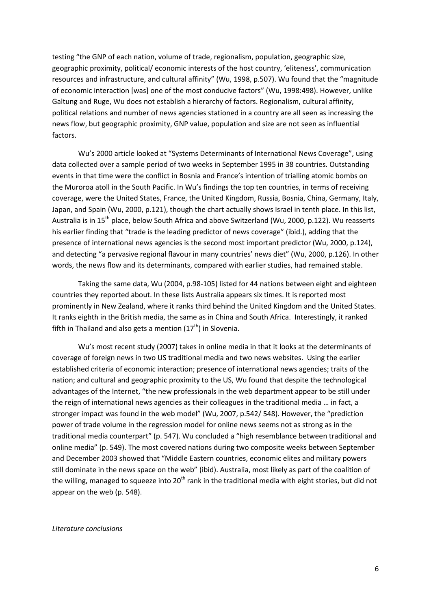testing "the GNP of each nation, volume of trade, regionalism, population, geographic size, geographic proximity, political/ economic interests of the host country, 'eliteness', communication resources and infrastructure, and cultural affinity" (Wu, 1998, p.507). Wu found that the "magnitude of economic interaction [was] one of the most conducive factors" (Wu, 1998:498). However, unlike Galtung and Ruge, Wu does not establish a hierarchy of factors. Regionalism, cultural affinity, political relations and number of news agencies stationed in a country are all seen as increasing the news flow, but geographic proximity, GNP value, population and size are not seen as influential factors.

Wu's 2000 article looked at "Systems Determinants of International News Coverage", using data collected over a sample period of two weeks in September 1995 in 38 countries. Outstanding events in that time were the conflict in Bosnia and France's intention of trialling atomic bombs on the Muroroa atoll in the South Pacific. In Wu's findings the top ten countries, in terms of receiving coverage, were the United States, France, the United Kingdom, Russia, Bosnia, China, Germany, Italy, Japan, and Spain (Wu, 2000, p.121), though the chart actually shows Israel in tenth place. In this list, Australia is in 15<sup>th</sup> place, below South Africa and above Switzerland (Wu, 2000, p.122). Wu reasserts his earlier finding that "trade is the leading predictor of news coverage" (ibid.), adding that the presence of international news agencies is the second most important predictor (Wu, 2000, p.124), and detecting "a pervasive regional flavour in many countries' news diet" (Wu, 2000, p.126). In other words, the news flow and its determinants, compared with earlier studies, had remained stable.

Taking the same data, Wu (2004, p.98-105) listed for 44 nations between eight and eighteen countries they reported about. In these lists Australia appears six times. It is reported most prominently in New Zealand, where it ranks third behind the United Kingdom and the United States. It ranks eighth in the British media, the same as in China and South Africa. Interestingly, it ranked fifth in Thailand and also gets a mention  $(17<sup>th</sup>)$  in Slovenia.

Wu's most recent study (2007) takes in online media in that it looks at the determinants of coverage of foreign news in two US traditional media and two news websites. Using the earlier established criteria of economic interaction; presence of international news agencies; traits of the nation; and cultural and geographic proximity to the US, Wu found that despite the technological advantages of the Internet, "the new professionals in the web department appear to be still under the reign of international news agencies as their colleagues in the traditional media … in fact, a stronger impact was found in the web model" (Wu, 2007, p.542/ 548). However, the "prediction power of trade volume in the regression model for online news seems not as strong as in the traditional media counterpart" (p. 547). Wu concluded a "high resemblance between traditional and online media" (p. 549). The most covered nations during two composite weeks between September and December 2003 showed that "Middle Eastern countries, economic elites and military powers still dominate in the news space on the web" (ibid). Australia, most likely as part of the coalition of the willing, managed to squeeze into  $20<sup>th</sup>$  rank in the traditional media with eight stories, but did not appear on the web (p. 548).

#### *Literature conclusions*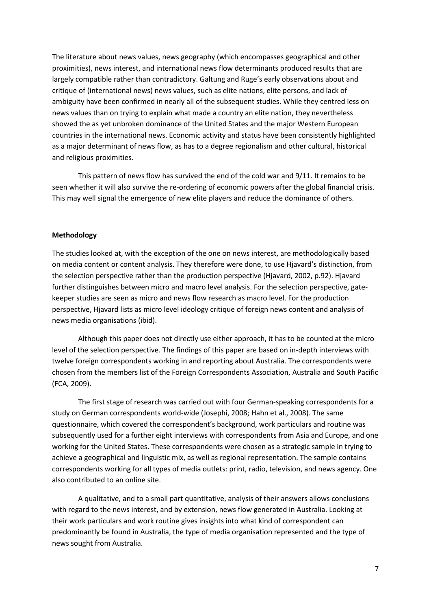The literature about news values, news geography (which encompasses geographical and other proximities), news interest, and international news flow determinants produced results that are largely compatible rather than contradictory. Galtung and Ruge's early observations about and critique of (international news) news values, such as elite nations, elite persons, and lack of ambiguity have been confirmed in nearly all of the subsequent studies. While they centred less on news values than on trying to explain what made a country an elite nation, they nevertheless showed the as yet unbroken dominance of the United States and the major Western European countries in the international news. Economic activity and status have been consistently highlighted as a major determinant of news flow, as has to a degree regionalism and other cultural, historical and religious proximities.

This pattern of news flow has survived the end of the cold war and 9/11. It remains to be seen whether it will also survive the re-ordering of economic powers after the global financial crisis. This may well signal the emergence of new elite players and reduce the dominance of others.

## **Methodology**

The studies looked at, with the exception of the one on news interest, are methodologically based on media content or content analysis. They therefore were done, to use Hjavard's distinction, from the selection perspective rather than the production perspective (Hjavard, 2002, p.92). Hjavard further distinguishes between micro and macro level analysis. For the selection perspective, gatekeeper studies are seen as micro and news flow research as macro level. For the production perspective, Hjavard lists as micro level ideology critique of foreign news content and analysis of news media organisations (ibid).

Although this paper does not directly use either approach, it has to be counted at the micro level of the selection perspective. The findings of this paper are based on in-depth interviews with twelve foreign correspondents working in and reporting about Australia. The correspondents were chosen from the members list of the Foreign Correspondents Association, Australia and South Pacific (FCA, 2009).

The first stage of research was carried out with four German-speaking correspondents for a study on German correspondents world-wide (Josephi, 2008; Hahn et al., 2008). The same questionnaire, which covered the correspondent's background, work particulars and routine was subsequently used for a further eight interviews with correspondents from Asia and Europe, and one working for the United States. These correspondents were chosen as a strategic sample in trying to achieve a geographical and linguistic mix, as well as regional representation. The sample contains correspondents working for all types of media outlets: print, radio, television, and news agency. One also contributed to an online site.

A qualitative, and to a small part quantitative, analysis of their answers allows conclusions with regard to the news interest, and by extension, news flow generated in Australia. Looking at their work particulars and work routine gives insights into what kind of correspondent can predominantly be found in Australia, the type of media organisation represented and the type of news sought from Australia.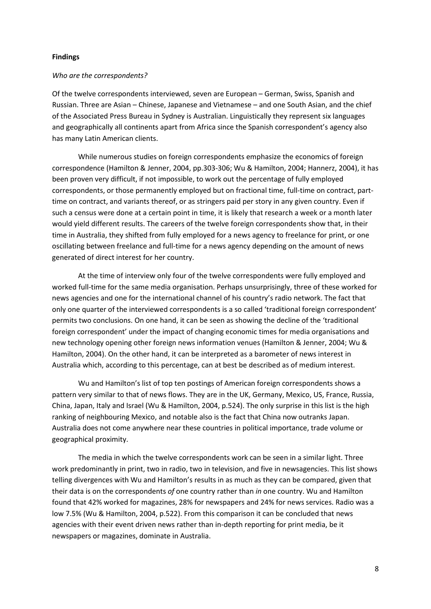# **Findings**

#### *Who are the correspondents?*

Of the twelve correspondents interviewed, seven are European – German, Swiss, Spanish and Russian. Three are Asian – Chinese, Japanese and Vietnamese – and one South Asian, and the chief of the Associated Press Bureau in Sydney is Australian. Linguistically they represent six languages and geographically all continents apart from Africa since the Spanish correspondent's agency also has many Latin American clients.

While numerous studies on foreign correspondents emphasize the economics of foreign correspondence (Hamilton & Jenner, 2004, pp.303-306; Wu & Hamilton, 2004; Hannerz, 2004), it has been proven very difficult, if not impossible, to work out the percentage of fully employed correspondents, or those permanently employed but on fractional time, full-time on contract, parttime on contract, and variants thereof, or as stringers paid per story in any given country. Even if such a census were done at a certain point in time, it is likely that research a week or a month later would yield different results. The careers of the twelve foreign correspondents show that, in their time in Australia, they shifted from fully employed for a news agency to freelance for print, or one oscillating between freelance and full-time for a news agency depending on the amount of news generated of direct interest for her country.

At the time of interview only four of the twelve correspondents were fully employed and worked full-time for the same media organisation. Perhaps unsurprisingly, three of these worked for news agencies and one for the international channel of his country's radio network. The fact that only one quarter of the interviewed correspondents is a so called 'traditional foreign correspondent' permits two conclusions. On one hand, it can be seen as showing the decline of the 'traditional foreign correspondent' under the impact of changing economic times for media organisations and new technology opening other foreign news information venues (Hamilton & Jenner, 2004; Wu & Hamilton, 2004). On the other hand, it can be interpreted as a barometer of news interest in Australia which, according to this percentage, can at best be described as of medium interest.

Wu and Hamilton's list of top ten postings of American foreign correspondents shows a pattern very similar to that of news flows. They are in the UK, Germany, Mexico, US, France, Russia, China, Japan, Italy and Israel (Wu & Hamilton, 2004, p.524). The only surprise in this list is the high ranking of neighbouring Mexico, and notable also is the fact that China now outranks Japan. Australia does not come anywhere near these countries in political importance, trade volume or geographical proximity.

The media in which the twelve correspondents work can be seen in a similar light. Three work predominantly in print, two in radio, two in television, and five in newsagencies. This list shows telling divergences with Wu and Hamilton's results in as much as they can be compared, given that their data is on the correspondents *of* one country rather than *in* one country. Wu and Hamilton found that 42% worked for magazines, 28% for newspapers and 24% for news services. Radio was a low 7.5% (Wu & Hamilton, 2004, p.522). From this comparison it can be concluded that news agencies with their event driven news rather than in-depth reporting for print media, be it newspapers or magazines, dominate in Australia.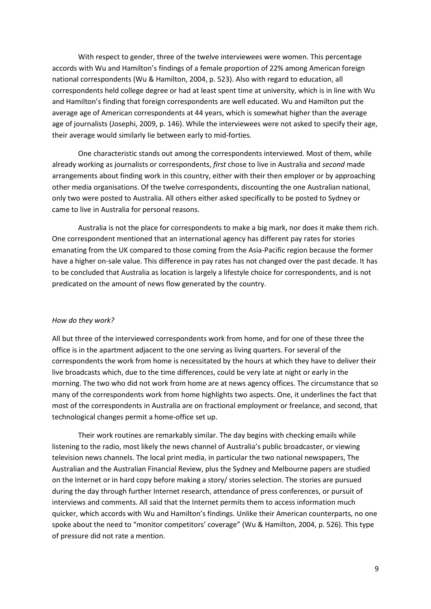With respect to gender, three of the twelve interviewees were women. This percentage accords with Wu and Hamilton's findings of a female proportion of 22% among American foreign national correspondents (Wu & Hamilton, 2004, p. 523). Also with regard to education, all correspondents held college degree or had at least spent time at university, which is in line with Wu and Hamilton's finding that foreign correspondents are well educated. Wu and Hamilton put the average age of American correspondents at 44 years, which is somewhat higher than the average age of journalists (Josephi, 2009, p. 146). While the interviewees were not asked to specify their age, their average would similarly lie between early to mid-forties.

One characteristic stands out among the correspondents interviewed. Most of them, while already working as journalists or correspondents, *first* chose to live in Australia and *second* made arrangements about finding work in this country, either with their then employer or by approaching other media organisations. Of the twelve correspondents, discounting the one Australian national, only two were posted to Australia. All others either asked specifically to be posted to Sydney or came to live in Australia for personal reasons.

Australia is not the place for correspondents to make a big mark, nor does it make them rich. One correspondent mentioned that an international agency has different pay rates for stories emanating from the UK compared to those coming from the Asia-Pacific region because the former have a higher on-sale value. This difference in pay rates has not changed over the past decade. It has to be concluded that Australia as location is largely a lifestyle choice for correspondents, and is not predicated on the amount of news flow generated by the country.

#### *How do they work?*

All but three of the interviewed correspondents work from home, and for one of these three the office is in the apartment adjacent to the one serving as living quarters. For several of the correspondents the work from home is necessitated by the hours at which they have to deliver their live broadcasts which, due to the time differences, could be very late at night or early in the morning. The two who did not work from home are at news agency offices. The circumstance that so many of the correspondents work from home highlights two aspects. One, it underlines the fact that most of the correspondents in Australia are on fractional employment or freelance, and second, that technological changes permit a home-office set up.

Their work routines are remarkably similar. The day begins with checking emails while listening to the radio, most likely the news channel of Australia's public broadcaster, or viewing television news channels. The local print media, in particular the two national newspapers, The Australian and the Australian Financial Review, plus the Sydney and Melbourne papers are studied on the Internet or in hard copy before making a story/ stories selection. The stories are pursued during the day through further Internet research, attendance of press conferences, or pursuit of interviews and comments. All said that the Internet permits them to access information much quicker, which accords with Wu and Hamilton's findings. Unlike their American counterparts, no one spoke about the need to "monitor competitors' coverage" (Wu & Hamilton, 2004, p. 526). This type of pressure did not rate a mention.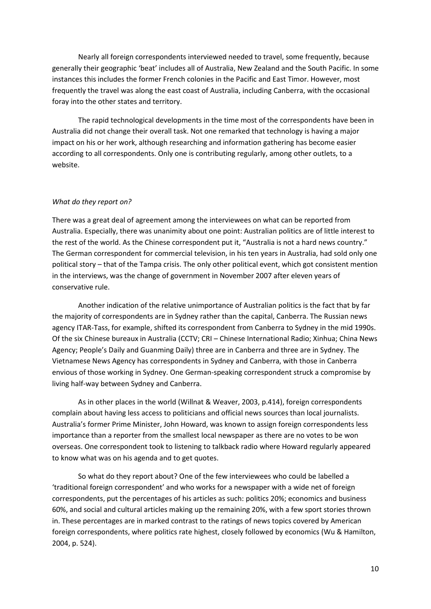Nearly all foreign correspondents interviewed needed to travel, some frequently, because generally their geographic 'beat' includes all of Australia, New Zealand and the South Pacific. In some instances this includes the former French colonies in the Pacific and East Timor. However, most frequently the travel was along the east coast of Australia, including Canberra, with the occasional foray into the other states and territory.

The rapid technological developments in the time most of the correspondents have been in Australia did not change their overall task. Not one remarked that technology is having a major impact on his or her work, although researching and information gathering has become easier according to all correspondents. Only one is contributing regularly, among other outlets, to a website.

# *What do they report on?*

There was a great deal of agreement among the interviewees on what can be reported from Australia. Especially, there was unanimity about one point: Australian politics are of little interest to the rest of the world. As the Chinese correspondent put it, "Australia is not a hard news country." The German correspondent for commercial television, in his ten years in Australia, had sold only one political story – that of the Tampa crisis. The only other political event, which got consistent mention in the interviews, was the change of government in November 2007 after eleven years of conservative rule.

Another indication of the relative unimportance of Australian politics is the fact that by far the majority of correspondents are in Sydney rather than the capital, Canberra. The Russian news agency ITAR-Tass, for example, shifted its correspondent from Canberra to Sydney in the mid 1990s. Of the six Chinese bureaux in Australia (CCTV; CRI – Chinese International Radio; Xinhua; China News Agency; People's Daily and Guanming Daily) three are in Canberra and three are in Sydney. The Vietnamese News Agency has correspondents in Sydney and Canberra, with those in Canberra envious of those working in Sydney. One German-speaking correspondent struck a compromise by living half-way between Sydney and Canberra.

As in other places in the world (Willnat & Weaver, 2003, p.414), foreign correspondents complain about having less access to politicians and official news sources than local journalists. Australia's former Prime Minister, John Howard, was known to assign foreign correspondents less importance than a reporter from the smallest local newspaper as there are no votes to be won overseas. One correspondent took to listening to talkback radio where Howard regularly appeared to know what was on his agenda and to get quotes.

So what do they report about? One of the few interviewees who could be labelled a 'traditional foreign correspondent' and who works for a newspaper with a wide net of foreign correspondents, put the percentages of his articles as such: politics 20%; economics and business 60%, and social and cultural articles making up the remaining 20%, with a few sport stories thrown in. These percentages are in marked contrast to the ratings of news topics covered by American foreign correspondents, where politics rate highest, closely followed by economics (Wu & Hamilton, 2004, p. 524).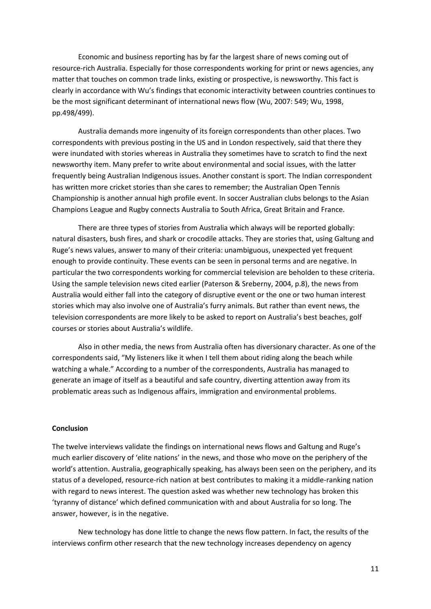Economic and business reporting has by far the largest share of news coming out of resource-rich Australia. Especially for those correspondents working for print or news agencies, any matter that touches on common trade links, existing or prospective, is newsworthy. This fact is clearly in accordance with Wu's findings that economic interactivity between countries continues to be the most significant determinant of international news flow (Wu, 2007: 549; Wu, 1998, pp.498/499).

Australia demands more ingenuity of its foreign correspondents than other places. Two correspondents with previous posting in the US and in London respectively, said that there they were inundated with stories whereas in Australia they sometimes have to scratch to find the next newsworthy item. Many prefer to write about environmental and social issues, with the latter frequently being Australian Indigenous issues. Another constant is sport. The Indian correspondent has written more cricket stories than she cares to remember; the Australian Open Tennis Championship is another annual high profile event. In soccer Australian clubs belongs to the Asian Champions League and Rugby connects Australia to South Africa, Great Britain and France.

There are three types of stories from Australia which always will be reported globally: natural disasters, bush fires, and shark or crocodile attacks. They are stories that, using Galtung and Ruge's news values, answer to many of their criteria: unambiguous, unexpected yet frequent enough to provide continuity. These events can be seen in personal terms and are negative. In particular the two correspondents working for commercial television are beholden to these criteria. Using the sample television news cited earlier (Paterson & Sreberny, 2004, p.8), the news from Australia would either fall into the category of disruptive event or the one or two human interest stories which may also involve one of Australia's furry animals. But rather than event news, the television correspondents are more likely to be asked to report on Australia's best beaches, golf courses or stories about Australia's wildlife.

Also in other media, the news from Australia often has diversionary character. As one of the correspondents said, "My listeners like it when I tell them about riding along the beach while watching a whale." According to a number of the correspondents, Australia has managed to generate an image of itself as a beautiful and safe country, diverting attention away from its problematic areas such as Indigenous affairs, immigration and environmental problems.

#### **Conclusion**

The twelve interviews validate the findings on international news flows and Galtung and Ruge's much earlier discovery of 'elite nations' in the news, and those who move on the periphery of the world's attention. Australia, geographically speaking, has always been seen on the periphery, and its status of a developed, resource-rich nation at best contributes to making it a middle-ranking nation with regard to news interest. The question asked was whether new technology has broken this 'tyranny of distance' which defined communication with and about Australia for so long. The answer, however, is in the negative.

New technology has done little to change the news flow pattern. In fact, the results of the interviews confirm other research that the new technology increases dependency on agency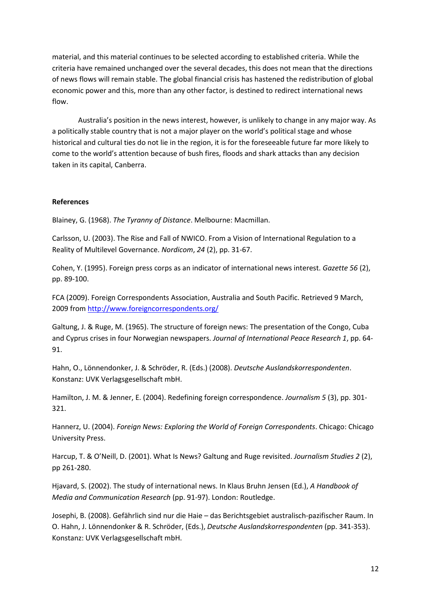material, and this material continues to be selected according to established criteria. While the criteria have remained unchanged over the several decades, this does not mean that the directions of news flows will remain stable. The global financial crisis has hastened the redistribution of global economic power and this, more than any other factor, is destined to redirect international news flow.

Australia's position in the news interest, however, is unlikely to change in any major way. As a politically stable country that is not a major player on the world's political stage and whose historical and cultural ties do not lie in the region, it is for the foreseeable future far more likely to come to the world's attention because of bush fires, floods and shark attacks than any decision taken in its capital, Canberra.

# **References**

Blainey, G. (1968). *The Tyranny of Distance*. Melbourne: Macmillan.

Carlsson, U. (2003). The Rise and Fall of NWICO. From a Vision of International Regulation to a Reality of Multilevel Governance. *Nordicom*, *24* (2), pp. 31-67.

Cohen, Y. (1995). Foreign press corps as an indicator of international news interest. *Gazette 56* (2), pp. 89-100.

FCA (2009). Foreign Correspondents Association, Australia and South Pacific. Retrieved 9 March, 2009 from<http://www.foreigncorrespondents.org/>

Galtung, J. & Ruge, M. (1965). The structure of foreign news: The presentation of the Congo, Cuba and Cyprus crises in four Norwegian newspapers. *Journal of International Peace Research 1*, pp. 64- 91.

Hahn, O., Lönnendonker, J. & Schröder, R. (Eds.) (2008). *Deutsche Auslandskorrespondenten*. Konstanz: UVK Verlagsgesellschaft mbH.

Hamilton, J. M. & Jenner, E. (2004). Redefining foreign correspondence. *Journalism 5* (3), pp. 301- 321.

Hannerz, U. (2004). *Foreign News: Exploring the World of Foreign Correspondents*. Chicago: Chicago University Press.

Harcup, T. & O'Neill, D. (2001). What Is News? Galtung and Ruge revisited. *Journalism Studies 2* (2), pp 261-280.

Hjavard, S. (2002). The study of international news. In Klaus Bruhn Jensen (Ed.), *A Handbook of Media and Communication Research* (pp. 91-97). London: Routledge.

Josephi, B. (2008). Gefährlich sind nur die Haie – das Berichtsgebiet australisch-pazifischer Raum. In O. Hahn, J. Lönnendonker & R. Schröder, (Eds.), *Deutsche Auslandskorrespondenten* (pp. 341-353). Konstanz: UVK Verlagsgesellschaft mbH.